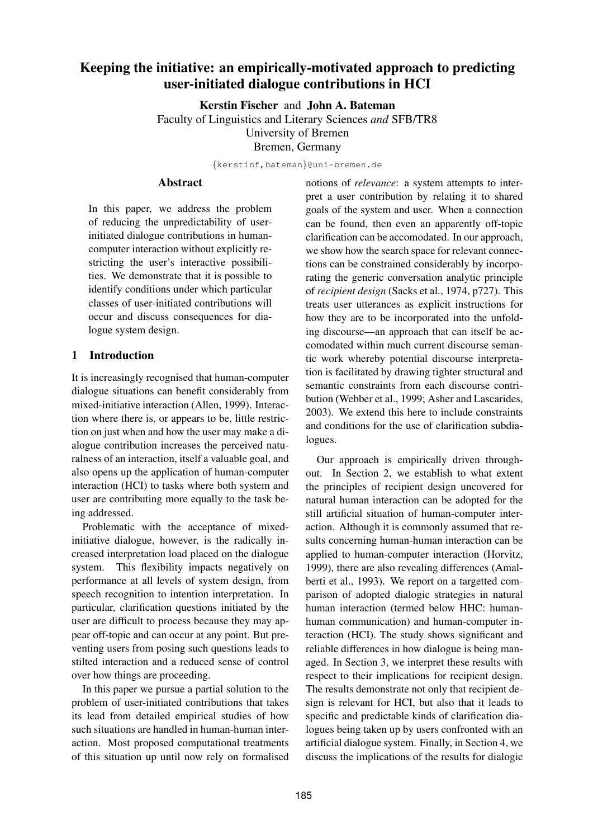# **Keeping the initiative: an empirically-motivated approach to predicting user-initiated dialogue contributions in HCI**

**Kerstin Fischer** and **John A. Bateman**

Faculty of Linguistics and Literary Sciences *and* SFB/TR8

University of Bremen

Bremen, Germany

{kerstinf,bateman}@uni-bremen.de

#### **Abstract**

In this paper, we address the problem of reducing the unpredictability of userinitiated dialogue contributions in humancomputer interaction without explicitly restricting the user's interactive possibilities. We demonstrate that it is possible to identify conditions under which particular classes of user-initiated contributions will occur and discuss consequences for dialogue system design.

# **1 Introduction**

It is increasingly recognised that human-computer dialogue situations can benefit considerably from mixed-initiative interaction (Allen, 1999). Interaction where there is, or appears to be, little restriction on just when and how the user may make a dialogue contribution increases the perceived naturalness of an interaction, itself a valuable goal, and also opens up the application of human-computer interaction (HCI) to tasks where both system and user are contributing more equally to the task being addressed.

Problematic with the acceptance of mixedinitiative dialogue, however, is the radically increased interpretation load placed on the dialogue system. This flexibility impacts negatively on performance at all levels of system design, from speech recognition to intention interpretation. In particular, clarification questions initiated by the user are difficult to process because they may appear off-topic and can occur at any point. But preventing users from posing such questions leads to stilted interaction and a reduced sense of control over how things are proceeding.

In this paper we pursue a partial solution to the problem of user-initiated contributions that takes its lead from detailed empirical studies of how such situations are handled in human-human interaction. Most proposed computational treatments of this situation up until now rely on formalised notions of *relevance*: a system attempts to interpret a user contribution by relating it to shared goals of the system and user. When a connection can be found, then even an apparently off-topic clarification can be accomodated. In our approach, we show how the search space for relevant connections can be constrained considerably by incorporating the generic conversation analytic principle of *recipient design* (Sacks et al., 1974, p727). This treats user utterances as explicit instructions for how they are to be incorporated into the unfolding discourse—an approach that can itself be accomodated within much current discourse semantic work whereby potential discourse interpretation is facilitated by drawing tighter structural and semantic constraints from each discourse contribution (Webber et al., 1999; Asher and Lascarides, 2003). We extend this here to include constraints and conditions for the use of clarification subdialogues.

Our approach is empirically driven throughout. In Section 2, we establish to what extent the principles of recipient design uncovered for natural human interaction can be adopted for the still artificial situation of human-computer interaction. Although it is commonly assumed that results concerning human-human interaction can be applied to human-computer interaction (Horvitz, 1999), there are also revealing differences (Amalberti et al., 1993). We report on a targetted comparison of adopted dialogic strategies in natural human interaction (termed below HHC: humanhuman communication) and human-computer interaction (HCI). The study shows significant and reliable differences in how dialogue is being managed. In Section 3, we interpret these results with respect to their implications for recipient design. The results demonstrate not only that recipient design is relevant for HCI, but also that it leads to specific and predictable kinds of clarification dialogues being taken up by users confronted with an artificial dialogue system. Finally, in Section 4, we discuss the implications of the results for dialogic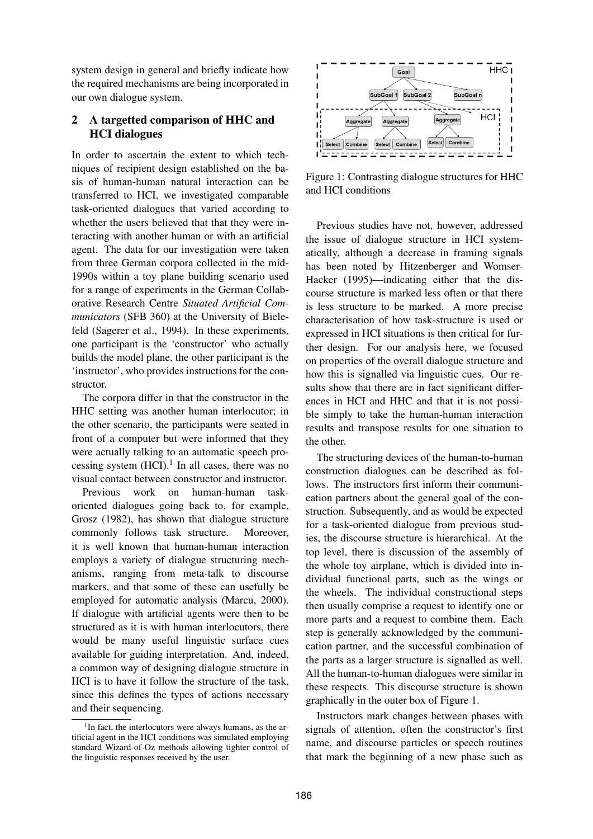system design in general and briefly indicate how the required mechanisms are being incorporated in our own dialogue system.

### **2 A targetted comparison of HHC and HCI dialogues**

In order to ascertain the extent to which techniques of recipient design established on the basis of human-human natural interaction can be transferred to HCI, we investigated comparable task-oriented dialogues that varied according to whether the users believed that that they were interacting with another human or with an artificial agent. The data for our investigation were taken from three German corpora collected in the mid-1990s within a toy plane building scenario used for a range of experiments in the German Collaborative Research Centre *Situated Artificial Communicators* (SFB 360) at the University of Bielefeld (Sagerer et al., 1994). In these experiments, one participant is the 'constructor' who actually builds the model plane, the other participant is the 'instructor', who provides instructions for the constructor.

The corpora differ in that the constructor in the HHC setting was another human interlocutor; in the other scenario, the participants were seated in front of a computer but were informed that they were actually talking to an automatic speech processing system  $(HCI).<sup>1</sup>$  In all cases, there was no visual contact between constructor and instructor.

Previous work on human-human taskoriented dialogues going back to, for example, Grosz (1982), has shown that dialogue structure commonly follows task structure. Moreover, it is well known that human-human interaction employs a variety of dialogue structuring mechanisms, ranging from meta-talk to discourse markers, and that some of these can usefully be employed for automatic analysis (Marcu, 2000). If dialogue with artificial agents were then to be structured as it is with human interlocutors, there would be many useful linguistic surface cues available for guiding interpretation. And, indeed, a common way of designing dialogue structure in HCI is to have it follow the structure of the task, since this defines the types of actions necessary and their sequencing.



Figure 1: Contrasting dialogue structures for HHC and HCI conditions

Previous studies have not, however, addressed the issue of dialogue structure in HCI systematically, although a decrease in framing signals has been noted by Hitzenberger and Womser-Hacker (1995)—indicating either that the discourse structure is marked less often or that there is less structure to be marked. A more precise characterisation of how task-structure is used or expressed in HCI situations is then critical for further design. For our analysis here, we focused on properties of the overall dialogue structure and how this is signalled via linguistic cues. Our results show that there are in fact significant differences in HCI and HHC and that it is not possible simply to take the human-human interaction results and transpose results for one situation to the other.

The structuring devices of the human-to-human construction dialogues can be described as follows. The instructors first inform their communication partners about the general goal of the construction. Subsequently, and as would be expected for a task-oriented dialogue from previous studies, the discourse structure is hierarchical. At the top level, there is discussion of the assembly of the whole toy airplane, which is divided into individual functional parts, such as the wings or the wheels. The individual constructional steps then usually comprise a request to identify one or more parts and a request to combine them. Each step is generally acknowledged by the communication partner, and the successful combination of the parts as a larger structure is signalled as well. All the human-to-human dialogues were similar in these respects. This discourse structure is shown graphically in the outer box of Figure 1.

Instructors mark changes between phases with signals of attention, often the constructor's first name, and discourse particles or speech routines that mark the beginning of a new phase such as

<sup>&</sup>lt;sup>1</sup>In fact, the interlocutors were always humans, as the artificial agent in the HCI conditions was simulated employing standard Wizard-of-Oz methods allowing tighter control of the linguistic responses received by the user.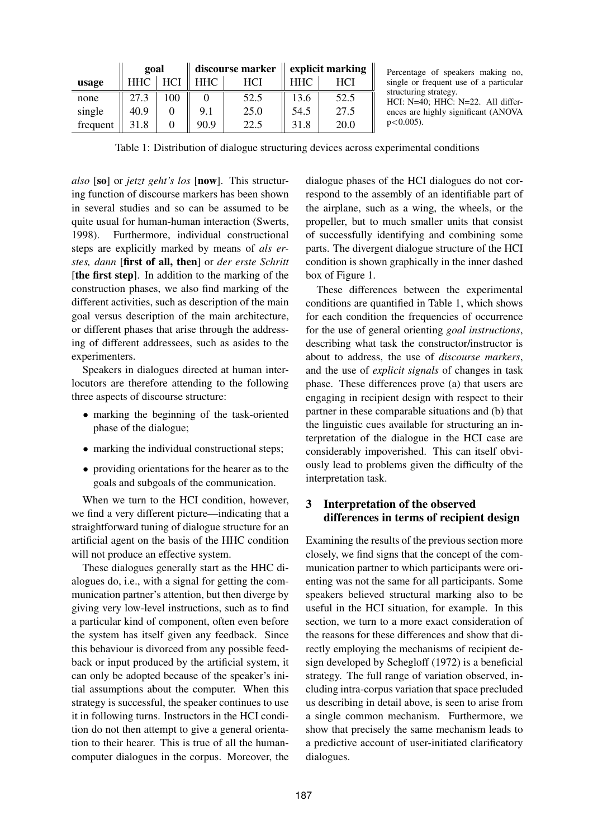|          | goal       |     | discourse marker $\parallel$ |      | explicit marking |      |
|----------|------------|-----|------------------------------|------|------------------|------|
| usage    | <b>HHC</b> | HCI | <b>HHC</b>                   | HCI  | <b>HHC</b>       | HCI  |
| none     | 27.3       | 100 |                              | 52.5 | 13.6             | 52.5 |
| single   | 40.9       |     | 9.1                          | 25.0 | 54.5             | 27.5 |
| frequent | 31.8       |     | 90.9                         | 22.5 | 31.8             | 20.0 |

Percentage of speakers making no, single or frequent use of a particular structuring strategy.

HCI: N=40; HHC: N=22. All differences are highly significant (ANOVA  $p < 0.005$ ).

Table 1: Distribution of dialogue structuring devices across experimental conditions

*also* [**so**] or *jetzt geht's los* [**now**]. This structuring function of discourse markers has been shown in several studies and so can be assumed to be quite usual for human-human interaction (Swerts, 1998). Furthermore, individual constructional steps are explicitly marked by means of *als erstes, dann* [**first of all, then**] or *der erste Schritt* [**the first step**]. In addition to the marking of the construction phases, we also find marking of the different activities, such as description of the main goal versus description of the main architecture, or different phases that arise through the addressing of different addressees, such as asides to the experimenters.

Speakers in dialogues directed at human interlocutors are therefore attending to the following three aspects of discourse structure:

- marking the beginning of the task-oriented phase of the dialogue;
- marking the individual constructional steps;
- providing orientations for the hearer as to the goals and subgoals of the communication.

When we turn to the HCI condition, however, we find a very different picture—indicating that a straightforward tuning of dialogue structure for an artificial agent on the basis of the HHC condition will not produce an effective system.

These dialogues generally start as the HHC dialogues do, i.e., with a signal for getting the communication partner's attention, but then diverge by giving very low-level instructions, such as to find a particular kind of component, often even before the system has itself given any feedback. Since this behaviour is divorced from any possible feedback or input produced by the artificial system, it can only be adopted because of the speaker's initial assumptions about the computer. When this strategy is successful, the speaker continues to use it in following turns. Instructors in the HCI condition do not then attempt to give a general orientation to their hearer. This is true of all the humancomputer dialogues in the corpus. Moreover, the dialogue phases of the HCI dialogues do not correspond to the assembly of an identifiable part of the airplane, such as a wing, the wheels, or the propeller, but to much smaller units that consist of successfully identifying and combining some parts. The divergent dialogue structure of the HCI condition is shown graphically in the inner dashed box of Figure 1.

These differences between the experimental conditions are quantified in Table 1, which shows for each condition the frequencies of occurrence for the use of general orienting *goal instructions*, describing what task the constructor/instructor is about to address, the use of *discourse markers*, and the use of *explicit signals* of changes in task phase. These differences prove (a) that users are engaging in recipient design with respect to their partner in these comparable situations and (b) that the linguistic cues available for structuring an interpretation of the dialogue in the HCI case are considerably impoverished. This can itself obviously lead to problems given the difficulty of the interpretation task.

### **3 Interpretation of the observed differences in terms of recipient design**

Examining the results of the previous section more closely, we find signs that the concept of the communication partner to which participants were orienting was not the same for all participants. Some speakers believed structural marking also to be useful in the HCI situation, for example. In this section, we turn to a more exact consideration of the reasons for these differences and show that directly employing the mechanisms of recipient design developed by Schegloff (1972) is a beneficial strategy. The full range of variation observed, including intra-corpus variation that space precluded us describing in detail above, is seen to arise from a single common mechanism. Furthermore, we show that precisely the same mechanism leads to a predictive account of user-initiated clarificatory dialogues.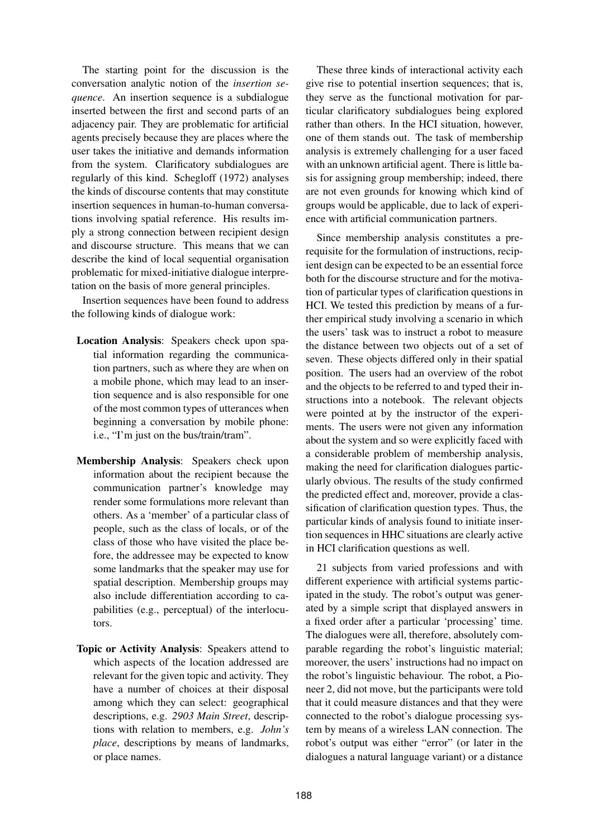The starting point for the discussion is the conversation analytic notion of the *insertion sequence*. An insertion sequence is a subdialogue inserted between the first and second parts of an adjacency pair. They are problematic for artificial agents precisely because they are places where the user takes the initiative and demands information from the system. Clarificatory subdialogues are regularly of this kind. Schegloff (1972) analyses the kinds of discourse contents that may constitute insertion sequences in human-to-human conversations involving spatial reference. His results imply a strong connection between recipient design and discourse structure. This means that we can describe the kind of local sequential organisation problematic for mixed-initiative dialogue interpretation on the basis of more general principles.

Insertion sequences have been found to address the following kinds of dialogue work:

- **Location Analysis**: Speakers check upon spatial information regarding the communication partners, such as where they are when on a mobile phone, which may lead to an insertion sequence and is also responsible for one of the most common types of utterances when beginning a conversation by mobile phone: i.e., "I'm just on the bus/train/tram".
- **Membership Analysis**: Speakers check upon information about the recipient because the communication partner's knowledge may render some formulations more relevant than others. As a 'member' of a particular class of people, such as the class of locals, or of the class of those who have visited the place before, the addressee may be expected to know some landmarks that the speaker may use for spatial description. Membership groups may also include differentiation according to capabilities (e.g., perceptual) of the interlocutors.
- **Topic or Activity Analysis**: Speakers attend to which aspects of the location addressed are relevant for the given topic and activity. They have a number of choices at their disposal among which they can select: geographical descriptions, e.g. *2903 Main Street*, descriptions with relation to members, e.g. *John's place*, descriptions by means of landmarks, or place names.

These three kinds of interactional activity each give rise to potential insertion sequences; that is, they serve as the functional motivation for particular clarificatory subdialogues being explored rather than others. In the HCI situation, however, one of them stands out. The task of membership analysis is extremely challenging for a user faced with an unknown artificial agent. There is little basis for assigning group membership; indeed, there are not even grounds for knowing which kind of groups would be applicable, due to lack of experience with artificial communication partners.

Since membership analysis constitutes a prerequisite for the formulation of instructions, recipient design can be expected to be an essential force both for the discourse structure and for the motivation of particular types of clarification questions in HCI. We tested this prediction by means of a further empirical study involving a scenario in which the users' task was to instruct a robot to measure the distance between two objects out of a set of seven. These objects differed only in their spatial position. The users had an overview of the robot and the objects to be referred to and typed their instructions into a notebook. The relevant objects were pointed at by the instructor of the experiments. The users were not given any information about the system and so were explicitly faced with a considerable problem of membership analysis, making the need for clarification dialogues particularly obvious. The results of the study confirmed the predicted effect and, moreover, provide a classification of clarification question types. Thus, the particular kinds of analysis found to initiate insertion sequences in HHC situations are clearly active in HCI clarification questions as well.

21 subjects from varied professions and with different experience with artificial systems participated in the study. The robot's output was generated by a simple script that displayed answers in a fixed order after a particular 'processing' time. The dialogues were all, therefore, absolutely comparable regarding the robot's linguistic material; moreover, the users' instructions had no impact on the robot's linguistic behaviour. The robot, a Pioneer 2, did not move, but the participants were told that it could measure distances and that they were connected to the robot's dialogue processing system by means of a wireless LAN connection. The robot's output was either "error" (or later in the dialogues a natural language variant) or a distance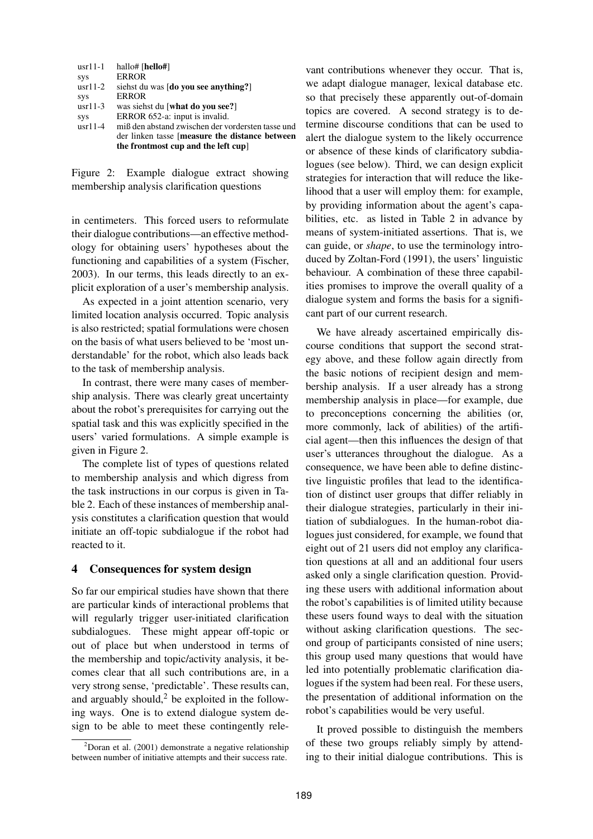| $usr11-1$ | hallo# [hello#]                                   |
|-----------|---------------------------------------------------|
| sys       | <b>ERROR</b>                                      |
| $usr11-2$ | siehst du was [do you see anything?]              |
| sys       | <b>ERROR</b>                                      |
| $usr11-3$ | was siehst du [what do you see?]                  |
| sys       | ERROR 652-a: input is invalid.                    |
| $usr11-4$ | miß den abstand zwischen der vordersten tasse und |
|           | der linken tasse [measure the distance between]   |
|           | the frontmost cup and the left cup]               |

Figure 2: Example dialogue extract showing membership analysis clarification questions

in centimeters. This forced users to reformulate their dialogue contributions—an effective methodology for obtaining users' hypotheses about the functioning and capabilities of a system (Fischer, 2003). In our terms, this leads directly to an explicit exploration of a user's membership analysis.

As expected in a joint attention scenario, very limited location analysis occurred. Topic analysis is also restricted; spatial formulations were chosen on the basis of what users believed to be 'most understandable' for the robot, which also leads back to the task of membership analysis.

In contrast, there were many cases of membership analysis. There was clearly great uncertainty about the robot's prerequisites for carrying out the spatial task and this was explicitly specified in the users' varied formulations. A simple example is given in Figure 2.

The complete list of types of questions related to membership analysis and which digress from the task instructions in our corpus is given in Table 2. Each of these instances of membership analysis constitutes a clarification question that would initiate an off-topic subdialogue if the robot had reacted to it.

#### **4 Consequences for system design**

So far our empirical studies have shown that there are particular kinds of interactional problems that will regularly trigger user-initiated clarification subdialogues. These might appear off-topic or out of place but when understood in terms of the membership and topic/activity analysis, it becomes clear that all such contributions are, in a very strong sense, 'predictable'. These results can, and arguably should, $2$  be exploited in the following ways. One is to extend dialogue system design to be able to meet these contingently relevant contributions whenever they occur. That is, we adapt dialogue manager, lexical database etc. so that precisely these apparently out-of-domain topics are covered. A second strategy is to determine discourse conditions that can be used to alert the dialogue system to the likely occurrence or absence of these kinds of clarificatory subdialogues (see below). Third, we can design explicit strategies for interaction that will reduce the likelihood that a user will employ them: for example, by providing information about the agent's capabilities, etc. as listed in Table 2 in advance by means of system-initiated assertions. That is, we can guide, or *shape*, to use the terminology introduced by Zoltan-Ford (1991), the users' linguistic behaviour. A combination of these three capabilities promises to improve the overall quality of a dialogue system and forms the basis for a significant part of our current research.

We have already ascertained empirically discourse conditions that support the second strategy above, and these follow again directly from the basic notions of recipient design and membership analysis. If a user already has a strong membership analysis in place—for example, due to preconceptions concerning the abilities (or, more commonly, lack of abilities) of the artificial agent—then this influences the design of that user's utterances throughout the dialogue. As a consequence, we have been able to define distinctive linguistic profiles that lead to the identification of distinct user groups that differ reliably in their dialogue strategies, particularly in their initiation of subdialogues. In the human-robot dialogues just considered, for example, we found that eight out of 21 users did not employ any clarification questions at all and an additional four users asked only a single clarification question. Providing these users with additional information about the robot's capabilities is of limited utility because these users found ways to deal with the situation without asking clarification questions. The second group of participants consisted of nine users; this group used many questions that would have led into potentially problematic clarification dialogues if the system had been real. For these users, the presentation of additional information on the robot's capabilities would be very useful.

It proved possible to distinguish the members of these two groups reliably simply by attending to their initial dialogue contributions. This is

 $^{2}$ Doran et al. (2001) demonstrate a negative relationship between number of initiative attempts and their success rate.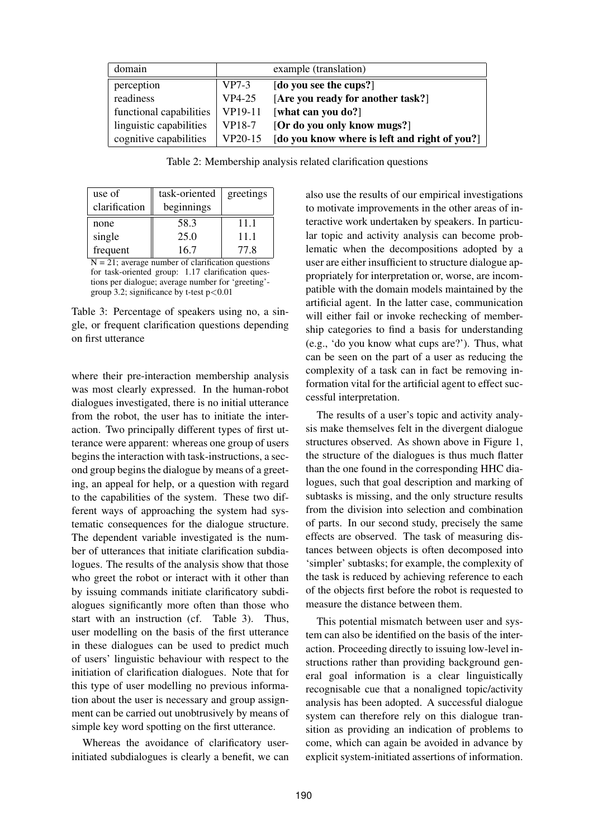| domain                  | example (translation) |                                               |
|-------------------------|-----------------------|-----------------------------------------------|
| perception              | $VP7-3$               | [do you see the cups?]                        |
| readiness               | VP4-25                | [Are you ready for another task?]             |
| functional capabilities | VP19-11               | [what can you do?]                            |
| linguistic capabilities | VP18-7                | [Or do you only know mugs?]                   |
| cognitive capabilities  | VP20-15               | [do you know where is left and right of you?] |

Table 2: Membership analysis related clarification questions

| use of        | task-oriented | greetings |
|---------------|---------------|-----------|
| clarification | beginnings    |           |
| none          | 58.3          | 11.1      |
| single        | 25.0          | 11.1      |
| frequent      | 16.7          | 77.8      |

 $N = 21$ ; average number of clarification questions for task-oriented group: 1.17 clarification questions per dialogue; average number for 'greeting' group 3.2; significance by t-test  $p < 0.01$ 

Table 3: Percentage of speakers using no, a single, or frequent clarification questions depending on first utterance

where their pre-interaction membership analysis was most clearly expressed. In the human-robot dialogues investigated, there is no initial utterance from the robot, the user has to initiate the interaction. Two principally different types of first utterance were apparent: whereas one group of users begins the interaction with task-instructions, a second group begins the dialogue by means of a greeting, an appeal for help, or a question with regard to the capabilities of the system. These two different ways of approaching the system had systematic consequences for the dialogue structure. The dependent variable investigated is the number of utterances that initiate clarification subdialogues. The results of the analysis show that those who greet the robot or interact with it other than by issuing commands initiate clarificatory subdialogues significantly more often than those who start with an instruction (cf. Table 3). Thus, user modelling on the basis of the first utterance in these dialogues can be used to predict much of users' linguistic behaviour with respect to the initiation of clarification dialogues. Note that for this type of user modelling no previous information about the user is necessary and group assignment can be carried out unobtrusively by means of simple key word spotting on the first utterance.

Whereas the avoidance of clarificatory userinitiated subdialogues is clearly a benefit, we can also use the results of our empirical investigations to motivate improvements in the other areas of interactive work undertaken by speakers. In particular topic and activity analysis can become problematic when the decompositions adopted by a user are either insufficient to structure dialogue appropriately for interpretation or, worse, are incompatible with the domain models maintained by the artificial agent. In the latter case, communication will either fail or invoke rechecking of membership categories to find a basis for understanding (e.g., 'do you know what cups are?'). Thus, what can be seen on the part of a user as reducing the complexity of a task can in fact be removing information vital for the artificial agent to effect successful interpretation.

The results of a user's topic and activity analysis make themselves felt in the divergent dialogue structures observed. As shown above in Figure 1, the structure of the dialogues is thus much flatter than the one found in the corresponding HHC dialogues, such that goal description and marking of subtasks is missing, and the only structure results from the division into selection and combination of parts. In our second study, precisely the same effects are observed. The task of measuring distances between objects is often decomposed into 'simpler' subtasks; for example, the complexity of the task is reduced by achieving reference to each of the objects first before the robot is requested to measure the distance between them.

This potential mismatch between user and system can also be identified on the basis of the interaction. Proceeding directly to issuing low-level instructions rather than providing background general goal information is a clear linguistically recognisable cue that a nonaligned topic/activity analysis has been adopted. A successful dialogue system can therefore rely on this dialogue transition as providing an indication of problems to come, which can again be avoided in advance by explicit system-initiated assertions of information.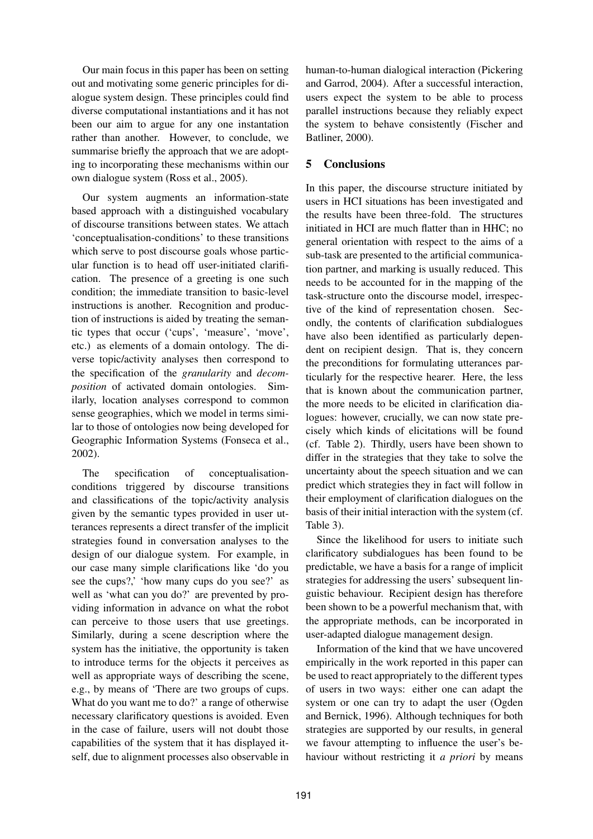Our main focus in this paper has been on setting out and motivating some generic principles for dialogue system design. These principles could find diverse computational instantiations and it has not been our aim to argue for any one instantation rather than another. However, to conclude, we summarise briefly the approach that we are adopting to incorporating these mechanisms within our own dialogue system (Ross et al., 2005).

Our system augments an information-state based approach with a distinguished vocabulary of discourse transitions between states. We attach 'conceptualisation-conditions' to these transitions which serve to post discourse goals whose particular function is to head off user-initiated clarification. The presence of a greeting is one such condition; the immediate transition to basic-level instructions is another. Recognition and production of instructions is aided by treating the semantic types that occur ('cups', 'measure', 'move', etc.) as elements of a domain ontology. The diverse topic/activity analyses then correspond to the specification of the *granularity* and *decomposition* of activated domain ontologies. Similarly, location analyses correspond to common sense geographies, which we model in terms similar to those of ontologies now being developed for Geographic Information Systems (Fonseca et al., 2002).

The specification of conceptualisationconditions triggered by discourse transitions and classifications of the topic/activity analysis given by the semantic types provided in user utterances represents a direct transfer of the implicit strategies found in conversation analyses to the design of our dialogue system. For example, in our case many simple clarifications like 'do you see the cups?, 'how many cups do you see?' as well as 'what can you do?' are prevented by providing information in advance on what the robot can perceive to those users that use greetings. Similarly, during a scene description where the system has the initiative, the opportunity is taken to introduce terms for the objects it perceives as well as appropriate ways of describing the scene, e.g., by means of 'There are two groups of cups. What do you want me to do?' a range of otherwise necessary clarificatory questions is avoided. Even in the case of failure, users will not doubt those capabilities of the system that it has displayed itself, due to alignment processes also observable in human-to-human dialogical interaction (Pickering and Garrod, 2004). After a successful interaction, users expect the system to be able to process parallel instructions because they reliably expect the system to behave consistently (Fischer and Batliner, 2000).

## **5 Conclusions**

In this paper, the discourse structure initiated by users in HCI situations has been investigated and the results have been three-fold. The structures initiated in HCI are much flatter than in HHC; no general orientation with respect to the aims of a sub-task are presented to the artificial communication partner, and marking is usually reduced. This needs to be accounted for in the mapping of the task-structure onto the discourse model, irrespective of the kind of representation chosen. Secondly, the contents of clarification subdialogues have also been identified as particularly dependent on recipient design. That is, they concern the preconditions for formulating utterances particularly for the respective hearer. Here, the less that is known about the communication partner, the more needs to be elicited in clarification dialogues: however, crucially, we can now state precisely which kinds of elicitations will be found (cf. Table 2). Thirdly, users have been shown to differ in the strategies that they take to solve the uncertainty about the speech situation and we can predict which strategies they in fact will follow in their employment of clarification dialogues on the basis of their initial interaction with the system (cf. Table 3).

Since the likelihood for users to initiate such clarificatory subdialogues has been found to be predictable, we have a basis for a range of implicit strategies for addressing the users' subsequent linguistic behaviour. Recipient design has therefore been shown to be a powerful mechanism that, with the appropriate methods, can be incorporated in user-adapted dialogue management design.

Information of the kind that we have uncovered empirically in the work reported in this paper can be used to react appropriately to the different types of users in two ways: either one can adapt the system or one can try to adapt the user (Ogden and Bernick, 1996). Although techniques for both strategies are supported by our results, in general we favour attempting to influence the user's behaviour without restricting it *a priori* by means